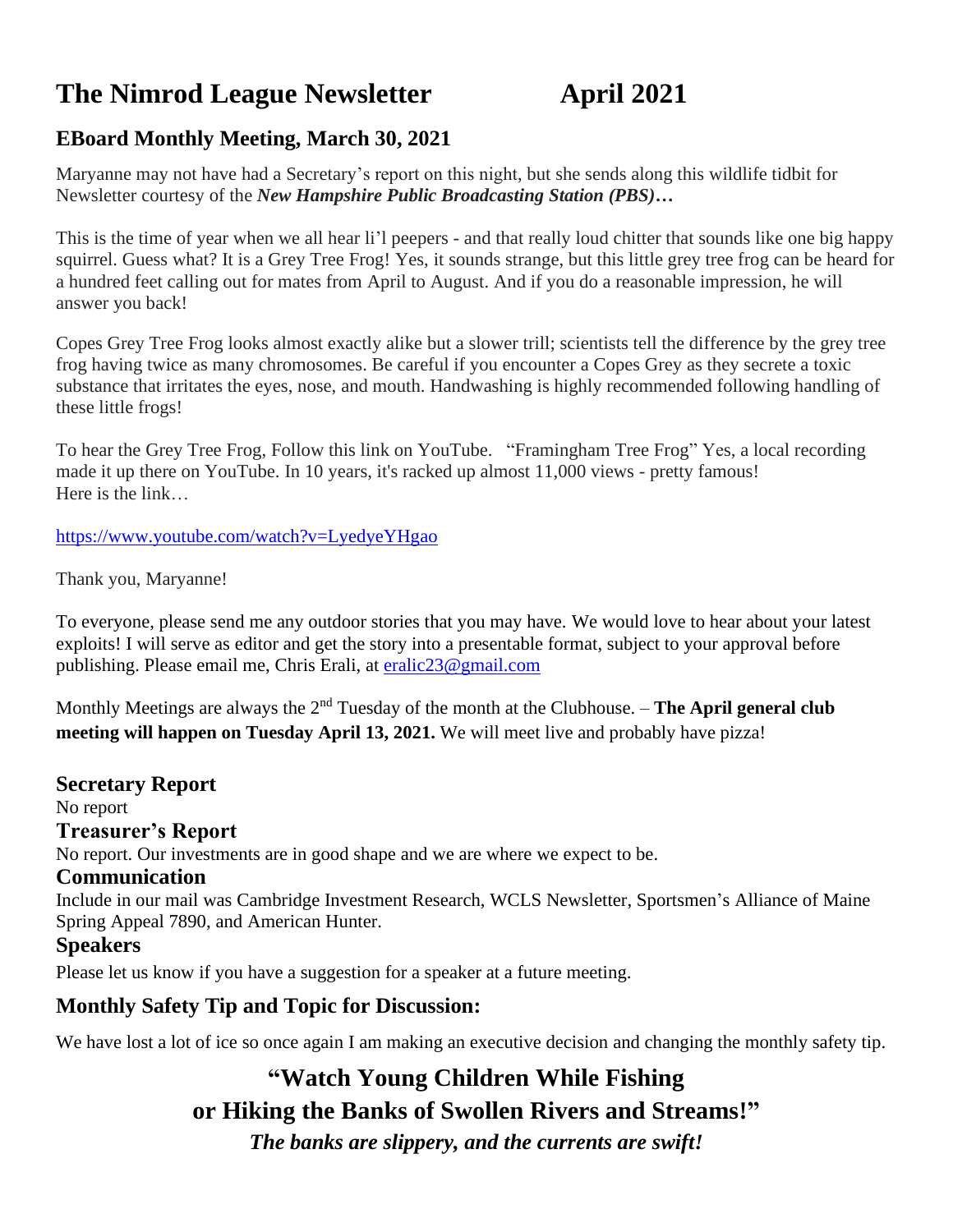# **The Nimrod League Newsletter April 2021**

# **EBoard Monthly Meeting, March 30, 2021**

Maryanne may not have had a Secretary's report on this night, but she sends along this wildlife tidbit for Newsletter courtesy of the *New Hampshire Public Broadcasting Station (PBS)…*

This is the time of year when we all hear li'l peepers - and that really loud chitter that sounds like one big happy squirrel. Guess what? It is a Grey Tree Frog! Yes, it sounds strange, but this little grey tree frog can be heard for a hundred feet calling out for mates from April to August. And if you do a reasonable impression, he will answer you back!

Copes Grey Tree Frog looks almost exactly alike but a slower trill; scientists tell the difference by the grey tree frog having twice as many chromosomes. Be careful if you encounter a Copes Grey as they secrete a toxic substance that irritates the eyes, nose, and mouth. Handwashing is highly recommended following handling of these little frogs!

To hear the Grey Tree Frog, Follow this link on YouTube. "Framingham Tree Frog" Yes, a local recording made it up there on YouTube. In 10 years, it's racked up almost 11,000 views - pretty famous! Here is the link…

<https://www.youtube.com/watch?v=LyedyeYHgao>

Thank you, Maryanne!

To everyone, please send me any outdoor stories that you may have. We would love to hear about your latest exploits! I will serve as editor and get the story into a presentable format, subject to your approval before publishing. Please email me, Chris Erali, at [eralic23@gmail.com](mailto:eralic23@gmail.com)

Monthly Meetings are always the 2<sup>nd</sup> Tuesday of the month at the Clubhouse. – **The April general club meeting will happen on Tuesday April 13, 2021.** We will meet live and probably have pizza!

**Secretary Report** No report **Treasurer's Report** No report. Our investments are in good shape and we are where we expect to be. **Communication** Include in our mail was Cambridge Investment Research, WCLS Newsletter, Sportsmen's Alliance of Maine Spring Appeal 7890, and American Hunter. **Speakers** Please let us know if you have a suggestion for a speaker at a future meeting.

**Monthly Safety Tip and Topic for Discussion:** 

We have lost a lot of ice so once again I am making an executive decision and changing the monthly safety tip.

# **"Watch Young Children While Fishing or Hiking the Banks of Swollen Rivers and Streams!"** *The banks are slippery, and the currents are swift!*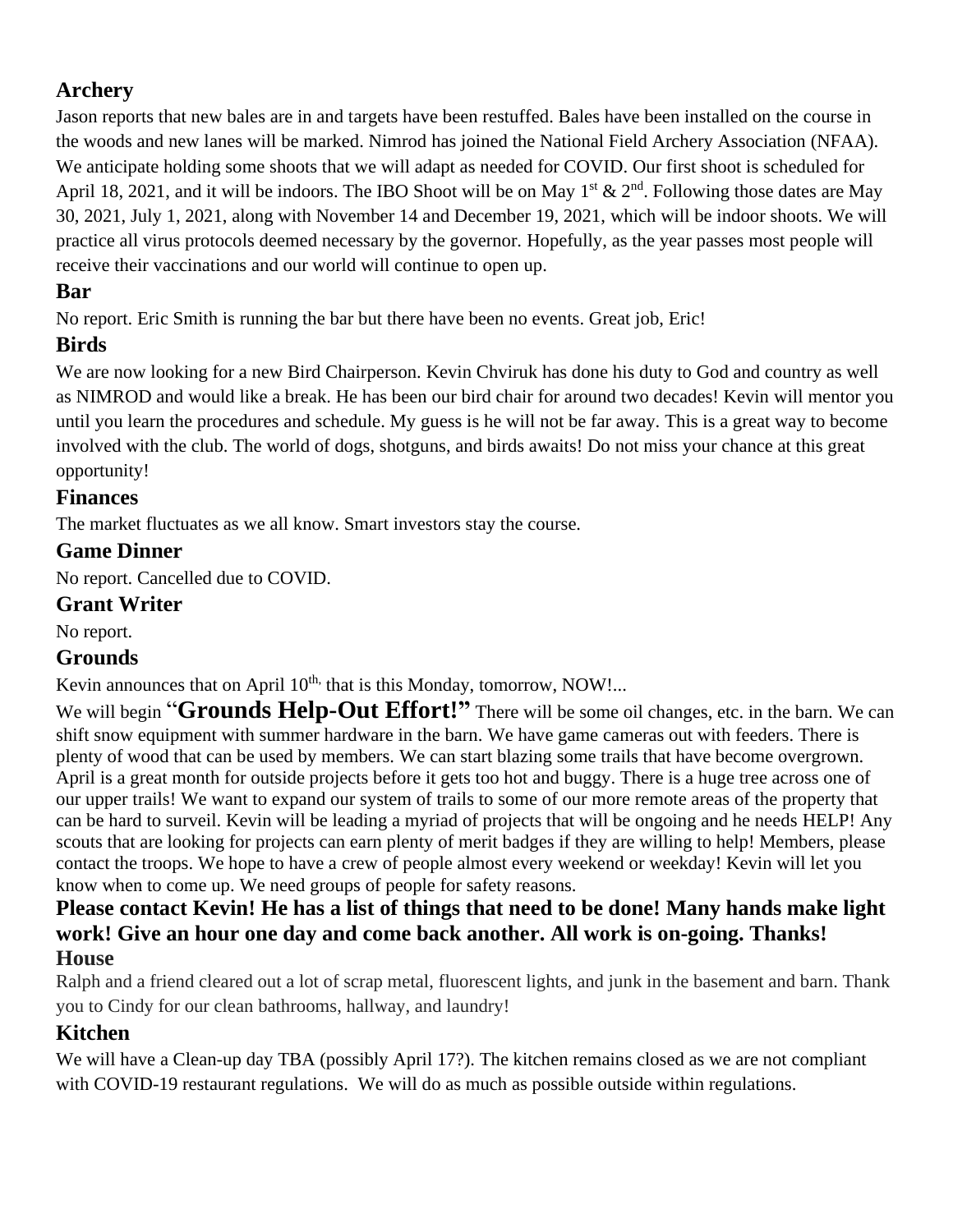# **Archery**

Jason reports that new bales are in and targets have been restuffed. Bales have been installed on the course in the woods and new lanes will be marked. Nimrod has joined the National Field Archery Association (NFAA). We anticipate holding some shoots that we will adapt as needed for COVID. Our first shoot is scheduled for April 18, 2021, and it will be indoors. The IBO Shoot will be on May  $1^{st}$  &  $2^{nd}$ . Following those dates are May 30, 2021, July 1, 2021, along with November 14 and December 19, 2021, which will be indoor shoots. We will practice all virus protocols deemed necessary by the governor. Hopefully, as the year passes most people will receive their vaccinations and our world will continue to open up.

# **Bar**

No report. Eric Smith is running the bar but there have been no events. Great job, Eric!

# **Birds**

We are now looking for a new Bird Chairperson. Kevin Chviruk has done his duty to God and country as well as NIMROD and would like a break. He has been our bird chair for around two decades! Kevin will mentor you until you learn the procedures and schedule. My guess is he will not be far away. This is a great way to become involved with the club. The world of dogs, shotguns, and birds awaits! Do not miss your chance at this great opportunity!

#### **Finances**

The market fluctuates as we all know. Smart investors stay the course.

# **Game Dinner**

No report. Cancelled due to COVID.

#### **Grant Writer**

No report.

## **Grounds**

Kevin announces that on April 10<sup>th,</sup> that is this Monday, tomorrow, NOW!...

We will begin "**Grounds Help-Out Effort!**" There will be some oil changes, etc. in the barn. We can shift snow equipment with summer hardware in the barn. We have game cameras out with feeders. There is plenty of wood that can be used by members. We can start blazing some trails that have become overgrown. April is a great month for outside projects before it gets too hot and buggy. There is a huge tree across one of our upper trails! We want to expand our system of trails to some of our more remote areas of the property that can be hard to surveil. Kevin will be leading a myriad of projects that will be ongoing and he needs HELP! Any scouts that are looking for projects can earn plenty of merit badges if they are willing to help! Members, please contact the troops. We hope to have a crew of people almost every weekend or weekday! Kevin will let you know when to come up. We need groups of people for safety reasons.

#### **Please contact Kevin! He has a list of things that need to be done! Many hands make light work! Give an hour one day and come back another. All work is on-going. Thanks! House**

Ralph and a friend cleared out a lot of scrap metal, fluorescent lights, and junk in the basement and barn. Thank you to Cindy for our clean bathrooms, hallway, and laundry!

# **Kitchen**

We will have a Clean-up day TBA (possibly April 17?). The kitchen remains closed as we are not compliant with COVID-19 restaurant regulations. We will do as much as possible outside within regulations.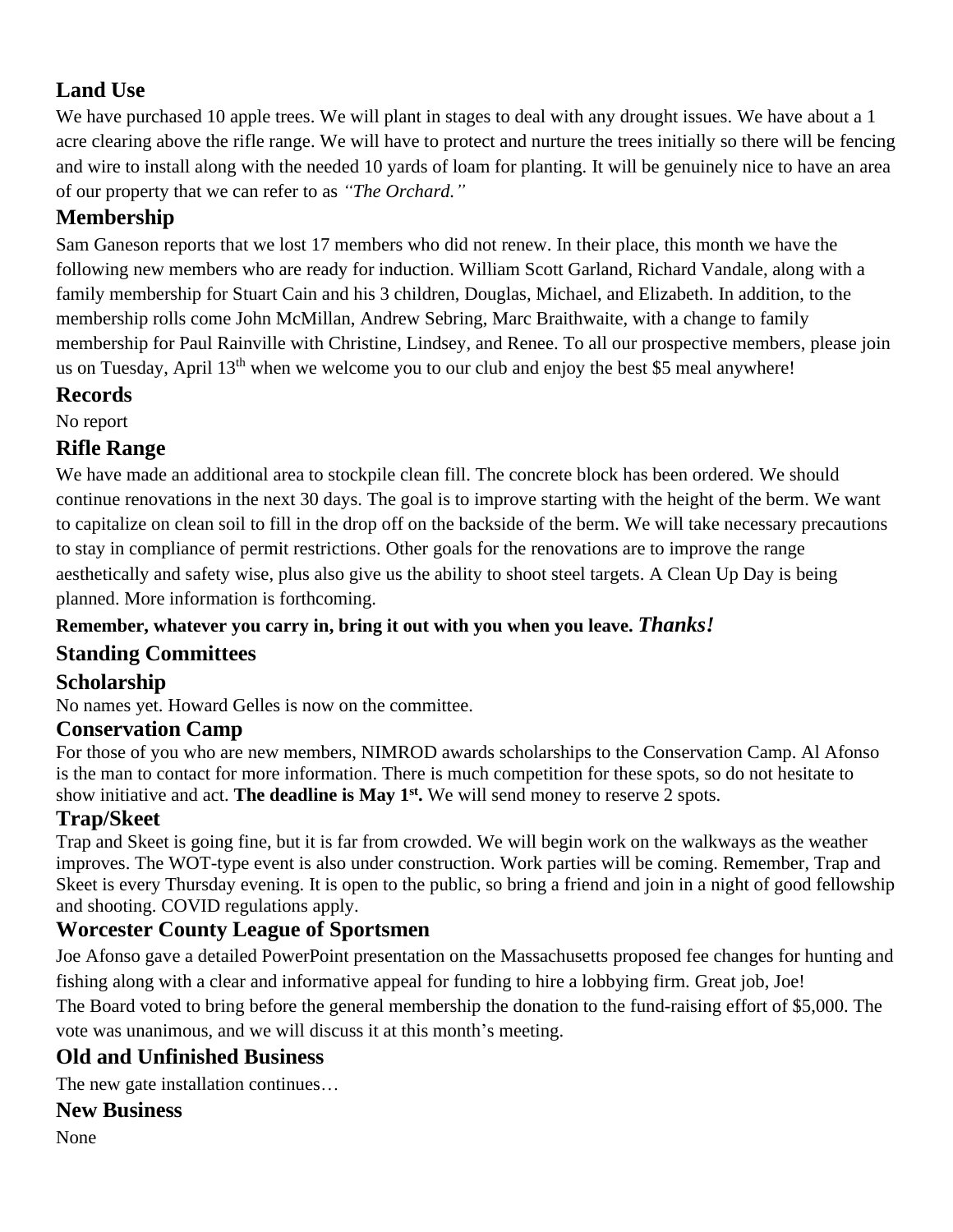# **Land Use**

We have purchased 10 apple trees. We will plant in stages to deal with any drought issues. We have about a 1 acre clearing above the rifle range. We will have to protect and nurture the trees initially so there will be fencing and wire to install along with the needed 10 yards of loam for planting. It will be genuinely nice to have an area of our property that we can refer to as *"The Orchard."*

# **Membership**

Sam Ganeson reports that we lost 17 members who did not renew. In their place, this month we have the following new members who are ready for induction. William Scott Garland, Richard Vandale, along with a family membership for Stuart Cain and his 3 children, Douglas, Michael, and Elizabeth. In addition, to the membership rolls come John McMillan, Andrew Sebring, Marc Braithwaite, with a change to family membership for Paul Rainville with Christine, Lindsey, and Renee. To all our prospective members, please join us on Tuesday, April  $13<sup>th</sup>$  when we welcome you to our club and enjoy the best \$5 meal anywhere!

## **Records**

No report

## **Rifle Range**

We have made an additional area to stockpile clean fill. The concrete block has been ordered. We should continue renovations in the next 30 days. The goal is to improve starting with the height of the berm. We want to capitalize on clean soil to fill in the drop off on the backside of the berm. We will take necessary precautions to stay in compliance of permit restrictions. Other goals for the renovations are to improve the range aesthetically and safety wise, plus also give us the ability to shoot steel targets. A Clean Up Day is being planned. More information is forthcoming.

#### **Remember, whatever you carry in, bring it out with you when you leave.** *Thanks!*

## **Standing Committees**

## **Scholarship**

No names yet. Howard Gelles is now on the committee.

## **Conservation Camp**

For those of you who are new members, NIMROD awards scholarships to the Conservation Camp. Al Afonso is the man to contact for more information. There is much competition for these spots, so do not hesitate to show initiative and act. **The deadline is May 1st .** We will send money to reserve 2 spots.

## **Trap/Skeet**

Trap and Skeet is going fine, but it is far from crowded. We will begin work on the walkways as the weather improves. The WOT-type event is also under construction. Work parties will be coming. Remember, Trap and Skeet is every Thursday evening. It is open to the public, so bring a friend and join in a night of good fellowship and shooting. COVID regulations apply.

## **Worcester County League of Sportsmen**

Joe Afonso gave a detailed PowerPoint presentation on the Massachusetts proposed fee changes for hunting and fishing along with a clear and informative appeal for funding to hire a lobbying firm. Great job, Joe! The Board voted to bring before the general membership the donation to the fund-raising effort of \$5,000. The vote was unanimous, and we will discuss it at this month's meeting.

# **Old and Unfinished Business**

The new gate installation continues…

# **New Business**

None